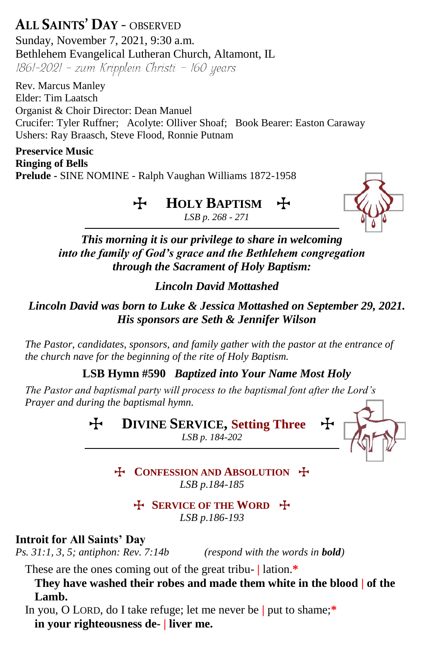**ALL SAINTS' DAY** - OBSERVED Sunday, November 7, 2021, 9:30 a.m. Bethlehem Evangelical Lutheran Church, Altamont, IL  $1861-2021$  - zum Kripplein Christi - 160 years

Rev. Marcus Manley Elder: Tim Laatsch Organist & Choir Director: Dean Manuel Crucifer: Tyler Ruffner; Acolyte: Olliver Shoaf; Book Bearer: Easton Caraway Ushers: Ray Braasch, Steve Flood, Ronnie Putnam

**Preservice Music Ringing of Bells Prelude -** SINE NOMINE - Ralph Vaughan Williams 1872-1958

#### $H$  **HOLY BAPTISM** *LSB p. 268 - 271*



*This morning it is our privilege to share in welcoming into the family of God's grace and the Bethlehem congregation through the Sacrament of Holy Baptism:*

## *Lincoln David Mottashed*

*Lincoln David was born to Luke & Jessica Mottashed on September 29, 2021. His sponsors are Seth & Jennifer Wilson*

*The Pastor, candidates, sponsors, and family gather with the pastor at the entrance of the church nave for the beginning of the rite of Holy Baptism.*  

**LSB Hymn #590** *Baptized into Your Name Most Holy*

*The Pastor and baptismal party will process to the baptismal font after the Lord's Prayer and during the baptismal hymn.* 

> $\div$  **DIVINE SERVICE, Setting Three** *LSB p. 184-202*



**T** CONFESSION AND ABSOLUTION **T** *LSB p.184-185*

> **T** SERVICE OF THE WORD **T** *LSB p.186-193*

**Introit for All Saints' Day**

*Ps. 31:1, 3, 5; antiphon: Rev. 7:14b (respond with the words in bold)*

These are the ones coming out of the great tribu- **|** lation.**\***

**They have washed their robes and made them white in the blood | of the Lamb.**

In you, O LORD, do I take refuge; let me never be **|** put to shame;**\* in your righteousness de- | liver me.**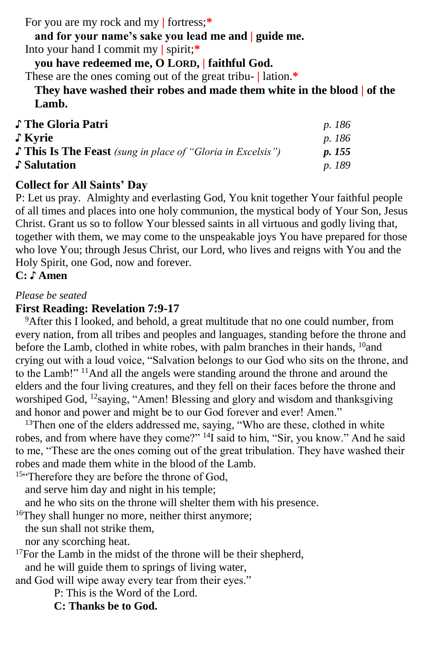For you are my rock and my **|** fortress;**\***

**and for your name's sake you lead me and | guide me.** Into your hand I commit my **|** spirit;**\***

**you have redeemed me, O LORD, | faithful God.**

These are the ones coming out of the great tribu- **|** lation.**\***

**They have washed their robes and made them white in the blood | of the Lamb.**

| ♪ The Gloria Patri                                               | <i>p.</i> 186 |
|------------------------------------------------------------------|---------------|
| ∫ Kyrie                                                          | <i>p.</i> 186 |
| $\int$ This Is The Feast (sung in place of "Gloria in Excelsis") | <i>p.</i> 155 |
| Salutation                                                       | <i>p.</i> 189 |

## **Collect for All Saints' Day**

P: Let us pray. Almighty and everlasting God, You knit together Your faithful people of all times and places into one holy communion, the mystical body of Your Son, Jesus Christ. Grant us so to follow Your blessed saints in all virtuous and godly living that, together with them, we may come to the unspeakable joys You have prepared for those who love You; through Jesus Christ, our Lord, who lives and reigns with You and the Holy Spirit, one God, now and forever.

**C: ♪ Amen**

#### *Please be seated*

#### **First Reading: Revelation 7:9-17**

<sup>9</sup>After this I looked, and behold, a great multitude that no one could number, from every nation, from all tribes and peoples and languages, standing before the throne and before the Lamb, clothed in white robes, with palm branches in their hands, <sup>10</sup>and crying out with a loud voice, "Salvation belongs to our God who sits on the throne, and to the Lamb!" <sup>11</sup>And all the angels were standing around the throne and around the elders and the four living creatures, and they fell on their faces before the throne and worshiped God, <sup>12</sup>saying, "Amen! Blessing and glory and wisdom and thanksgiving and honor and power and might be to our God forever and ever! Amen."

<sup>13</sup>Then one of the elders addressed me, saying, "Who are these, clothed in white robes, and from where have they come?" <sup>14</sup>I said to him, "Sir, you know." And he said to me, "These are the ones coming out of the great tribulation. They have washed their robes and made them white in the blood of the Lamb.

<sup>15"</sup>Therefore they are before the throne of God,

and serve him day and night in his temple;

and he who sits on the throne will shelter them with his presence.

<sup>16</sup>They shall hunger no more, neither thirst anymore;

the sun shall not strike them,

nor any scorching heat.

<sup>17</sup>For the Lamb in the midst of the throne will be their shepherd, and he will guide them to springs of living water,

and God will wipe away every tear from their eyes."

P: This is the Word of the Lord.

**C: Thanks be to God.**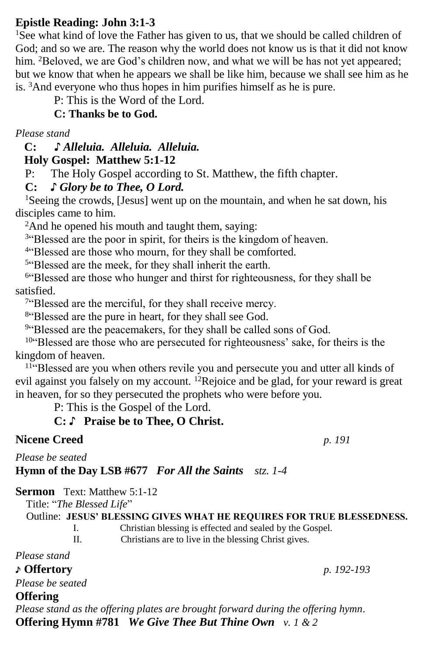## **Epistle Reading: John 3:1-3**

<sup>1</sup>See what kind of love the Father has given to us, that we should be called children of God; and so we are. The reason why the world does not know us is that it did not know him. <sup>2</sup>Beloved, we are God's children now, and what we will be has not yet appeared; but we know that when he appears we shall be like him, because we shall see him as he is. <sup>3</sup>And everyone who thus hopes in him purifies himself as he is pure.

P: This is the Word of the Lord.

**C: Thanks be to God.**

*Please stand*

 **C: ♪** *Alleluia. Alleluia. Alleluia.*

 **Holy Gospel: Matthew 5:1-12**

P: The Holy Gospel according to St. Matthew, the fifth chapter.

**C:** *♪ Glory be to Thee, O Lord.*

<sup>1</sup>Seeing the crowds, [Jesus] went up on the mountain, and when he sat down, his disciples came to him.

<sup>2</sup>And he opened his mouth and taught them, saying:

<sup>3"</sup>Blessed are the poor in spirit, for theirs is the kingdom of heaven.

<sup>4"</sup>Blessed are those who mourn, for they shall be comforted.

<sup>5"</sup>Blessed are the meek, for they shall inherit the earth.

<sup>6"</sup>Blessed are those who hunger and thirst for righteousness, for they shall be satisfied.

<sup>7"</sup>Blessed are the merciful, for they shall receive mercy.

<sup>8"</sup>Blessed are the pure in heart, for they shall see God.

<sup>9"</sup>Blessed are the peacemakers, for they shall be called sons of God.

<sup>10</sup>"Blessed are those who are persecuted for righteousness' sake, for theirs is the kingdom of heaven.

<sup>11"</sup>Blessed are you when others revile you and persecute you and utter all kinds of evil against you falsely on my account. <sup>12</sup>Rejoice and be glad, for your reward is great in heaven, for so they persecuted the prophets who were before you.

P: This is the Gospel of the Lord.

# **C:** ♪ **Praise be to Thee, O Christ.**

# **Nicene Creed** *p. 191*

*Please be seated*

**Hymn of the Day LSB #677** *For All the Saints stz. 1-4*

**Sermon** Text: Matthew 5:1-12

Title: "*The Blessed Life*"

### Outline: **JESUS' BLESSING GIVES WHAT HE REQUIRES FOR TRUE BLESSEDNESS.**

I. Christian blessing is effected and sealed by the Gospel.

II. Christians are to live in the blessing Christ gives.

*Please stand*

## ♪ **Offertory** *p. 192-193*

*Please be seated*

## **Offering**

*Please stand as the offering plates are brought forward during the offering hymn.* **Offering Hymn #781** *We Give Thee But Thine Own v. 1 & 2*